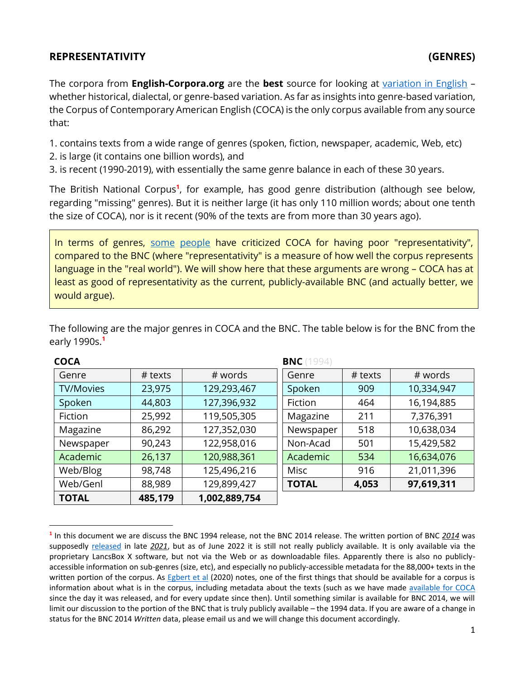## **REPRESENTATIVITY (GENRES)**

 $\overline{a}$ 

The corpora from **English-Corpora.org** are the **best** source for looking at [variation in English](https://www.english-corpora.org/variation.asp) – whether historical, dialectal, or genre-based variation. As far as insights into genre-based variation, the Corpus of Contemporary American English (COCA) is the only corpus available from any source that:

1. contains texts from a wide range of genres (spoken, fiction, newspaper, academic, Web, etc)

- 2. is large (it contains one billion words), and
- 3. is recent (1990-2019), with essentially the same genre balance in each of these 30 years.

<span id="page-0-0"></span>The British National Corpus**<sup>1</sup>** , for example, has good genre distribution (although see below, regarding "missing" genres). But it is neither large (it has only 110 million words; about one tenth the size of COCA), nor is it recent (90% of the texts are from more than 30 years ago).

In terms of genres, [some](https://www.amazon.com/Doing-Linguistics-Corpus-Methodological-Considerations-ebook/dp/B08K3PCD5H) [people](https://www.cambridge.org/core/books/designing-and-evaluating-language-corpora/7EEB6023C0F9332869204D1EE8E5E78F) have criticized COCA for having poor "representativity", compared to the BNC (where "representativity" is a measure of how well the corpus represents language in the "real world"). We will show here that these arguments are wrong – COCA has at least as good of representativity as the current, publicly-available BNC (and actually better, we would argue).

| <b>COCA</b>      |           |               | <b>BNC</b> (1994) |         |            |
|------------------|-----------|---------------|-------------------|---------|------------|
| Genre            | $#$ texts | # words       | Genre             | # texts | # words    |
| <b>TV/Movies</b> | 23,975    | 129,293,467   | Spoken            | 909     | 10,334,947 |
| Spoken           | 44,803    | 127,396,932   | Fiction           | 464     | 16,194,885 |
| Fiction          | 25,992    | 119,505,305   | Magazine          | 211     | 7,376,391  |
| Magazine         | 86,292    | 127,352,030   | Newspaper         | 518     | 10,638,034 |
| Newspaper        | 90,243    | 122,958,016   | Non-Acad          | 501     | 15,429,582 |
| Academic         | 26,137    | 120,988,361   | Academic          | 534     | 16,634,076 |
| Web/Blog         | 98,748    | 125,496,216   | Misc              | 916     | 21,011,396 |
| Web/Genl         | 88,989    | 129,899,427   | <b>TOTAL</b>      | 4,053   | 97,619,311 |
| <b>TOTAL</b>     | 485,179   | 1,002,889,754 |                   |         |            |

The following are the major genres in COCA and the BNC. The table below is for the BNC from the early 1990s.**[1](#page-0-0)**

**<sup>1</sup>** In this document we are discuss the BNC 1994 release, not the BNC 2014 release. The written portion of BNC *2014* was supposedly [released](https://www.clarin.eu/news/introducing-written-british-national-corpus-bnc2014) in late *2021*, but as of June 2022 it is still not really publicly available. It is only available via the proprietary LancsBox X software, but not via the Web or as downloadable files. Apparently there is also no publiclyaccessible information on sub-genres (size, etc), and especially no publicly-accessible metadata for the 88,000+ texts in the written portion of the corpus. As [Egbert et al](https://www.amazon.com/Doing-Linguistics-Corpus-Methodological-Considerations-ebook/dp/B08K3PCD5H) (2020) notes, one of the first things that should be available for a corpus is information about what is in the corpus, including metadata about the texts (such as we have made [available for COCA](https://www.english-corpora.org/coca/files/coca_2019_12.zip) since the day it was released, and for every update since then). Until something similar is available for BNC 2014, we will limit our discussion to the portion of the BNC that is truly publicly available – the 1994 data. If you are aware of a change in status for the BNC 2014 *Written* data, please email us and we will change this document accordingly.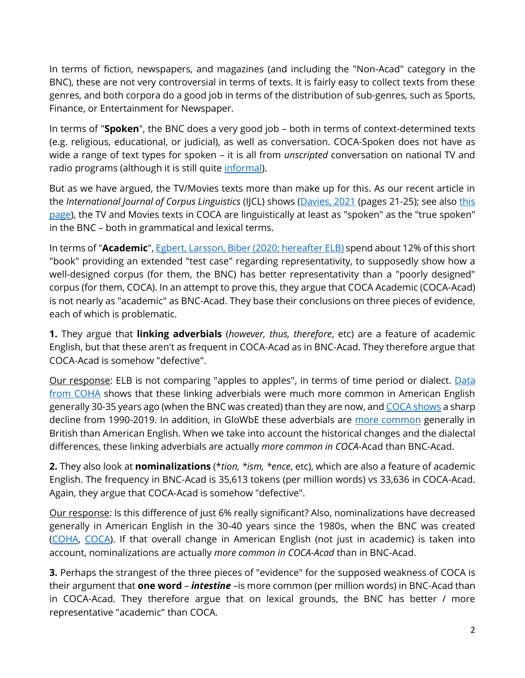In terms of fiction, newspapers, and magazines (and including the "Non-Acad" category in the BNC), these are not very controversial in terms of texts. It is fairly easy to collect texts from these genres, and both corpora do a good job in terms of the distribution of sub-genres, such as Sports, Finance, or Entertainment for Newspaper.

In terms of "**Spoken**", the BNC does a very good job – both in terms of context-determined texts (e.g. religious, educational, or judicial), as well as conversation. COCA-Spoken does not have as wide a range of text types for spoken – it is all from *unscripted* conversation on national TV and radio programs (although it is still quite *informal)*.

But as we have argued, the TV/Movies texts more than make up for this. As our recent article in the *International Journal of Corpus Linguistics* (IJCL) shows [\(Davies, 2021](https://www.mark-davies.org/articles/davies_85.pdf) (pages 21-25); see als[o this](https://www.english-corpora.org/files/tv_movie_corpora.pdf)  [page\)](https://www.english-corpora.org/files/tv_movie_corpora.pdf), the TV and Movies texts in COCA are linguistically at least as "spoken" as the "true spoken" in the BNC – both in grammatical and lexical terms.

In terms of "**Academic**"[, Egbert, Larsson, Biber](https://www.cambridge.org/core/elements/abs/doing-linguistics-with-a-corpus/F50C163E2862F0B028424EC354D31C0C) (2020; hereafter ELB) spend about 12% of this short "book" providing an extended "test case" regarding representativity, to supposedly show how a well-designed corpus (for them, the BNC) has better representativity than a "poorly designed" corpus (for them, COCA). In an attempt to prove this, they argue that COCA Academic (COCA-Acad) is not nearly as "academic" as BNC-Acad. They base their conclusions on three pieces of evidence, each of which is problematic.

**1.** They argue that **linking adverbials** (*however, thus, therefore*, etc) are a feature of academic English, but that these aren't as frequent in COCA-Acad as in BNC-Acad. They therefore argue that COCA-Acad is somehow "defective".

Our response: ELB is not comparing "apples to apples", in terms of time period or dialect. Data [from COHA](https://www.english-corpora.org/coha/?c=coha&q=105403687) shows that these linking adverbials were much more common in American English generally 30-35 years ago (when the BNC was created) than they are now, an[d COCA shows](https://www.english-corpora.org/coca/?c=coca&q=105403399) a sharp decline from 1990-2019. In addition, in GloWbE these adverbials are [more common](https://www.english-corpora.org/glowbe/?c=glowbe&q=105403913) generally in British than American English. When we take into account the historical changes and the dialectal differences, these linking adverbials are actually *more common in COCA*-Acad than BNC-Acad.

**2.** They also look at **nominalizations** (\**tion, \*ism, \*ence*, etc), which are also a feature of academic English. The frequency in BNC-Acad is 35,613 tokens (per million words) vs 33,636 in COCA-Acad. Again, they argue that COCA-Acad is somehow "defective".

Our response: Is this difference of just 6% really significant? Also, nominalizations have decreased generally in American English in the 30-40 years since the 1980s, when the BNC was created [\(COHA,](https://www.english-corpora.org/coha/?c=coha&q=105404484) [COCA\)](https://www.english-corpora.org/coca/?c=coca&q=105404409). If that overall change in American English (not just in academic) is taken into account, nominalizations are actually *more common in COCA-Acad* than in BNC-Acad.

**3.** Perhaps the strangest of the three pieces of "evidence" for the supposed weakness of COCA is their argument that **one word** – *intestine* –is more common (per million words) in BNC-Acad than in COCA-Acad. They therefore argue that on lexical grounds, the BNC has better / more representative "academic" than COCA.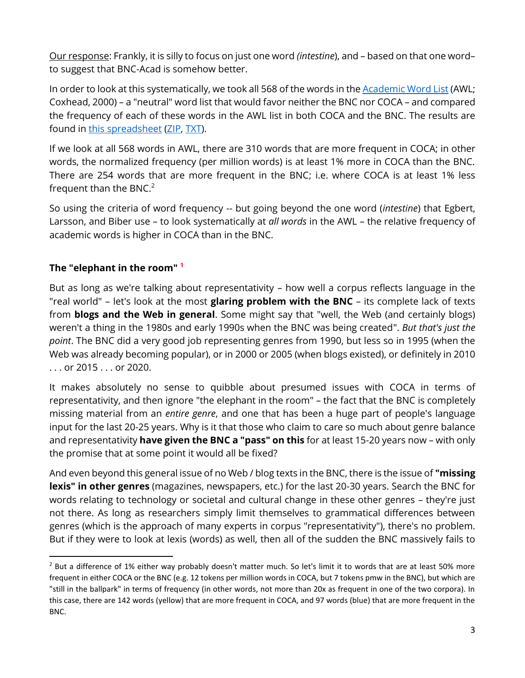Our response: Frankly, it is silly to focus on just one word *(intestine*), and – based on that one word– to suggest that BNC-Acad is somehow better.

In order to look at this systematically, we took all 568 of the words in the **Academic Word List** (AWL; Coxhead, 2000) – a "neutral" word list that would favor neither the BNC nor COCA – and compared the frequency of each of these words in the AWL list in both COCA and the BNC. The results are found in [this spreadsheet](https://www.english-corpora.org/coca/files/coca-bnc-acad.xlsx) [\(ZIP,](https://www.english-corpora.org/coca/files/coca-bnc-acad.zip) [TXT\)](https://www.english-corpora.org/coca/files/coca-bnc-acad.txt).

If we look at all 568 words in AWL, there are 310 words that are more frequent in COCA; in other words, the normalized frequency (per million words) is at least 1% more in COCA than the BNC. There are 254 words that are more frequent in the BNC; i.e. where COCA is at least 1% less frequent than the BNC. $2$ 

So using the criteria of word frequency -- but going beyond the one word (*intestine*) that Egbert, Larsson, and Biber use – to look systematically at *all words* in the AWL – the relative frequency of academic words is higher in COCA than in the BNC.

## **The "elephant in the room" [1](#page-0-0)**

 $\overline{a}$ 

But as long as we're talking about representativity – how well a corpus reflects language in the "real world" – let's look at the most **glaring problem with the BNC** – its complete lack of texts from **blogs and the Web in general**. Some might say that "well, the Web (and certainly blogs) weren't a thing in the 1980s and early 1990s when the BNC was being created". *But that's just the point*. The BNC did a very good job representing genres from 1990, but less so in 1995 (when the Web was already becoming popular), or in 2000 or 2005 (when blogs existed), or definitely in 2010 . . . or 2015 . . . or 2020.

It makes absolutely no sense to quibble about presumed issues with COCA in terms of representativity, and then ignore "the elephant in the room" – the fact that the BNC is completely missing material from an *entire genre*, and one that has been a huge part of people's language input for the last 20-25 years. Why is it that those who claim to care so much about genre balance and representativity **have given the BNC a "pass" on this** for at least 15-20 years now – with only the promise that at some point it would all be fixed?

And even beyond this general issue of no Web / blog texts in the BNC, there is the issue of **"missing lexis" in other genres** (magazines, newspapers, etc.) for the last 20-30 years. Search the BNC for words relating to technology or societal and cultural change in these other genres – they're just not there. As long as researchers simply limit themselves to grammatical differences between genres (which is the approach of many experts in corpus "representativity"), there's no problem. But if they were to look at lexis (words) as well, then all of the sudden the BNC massively fails to

<sup>&</sup>lt;sup>2</sup> But a difference of 1% either way probably doesn't matter much. So let's limit it to words that are at least 50% more frequent in either COCA or the BNC (e.g. 12 tokens per million words in COCA, but 7 tokens pmw in the BNC), but which are "still in the ballpark" in terms of frequency (in other words, not more than 20x as frequent in one of the two corpora). In this case, there are 142 words (yellow) that are more frequent in COCA, and 97 words (blue) that are more frequent in the BNC.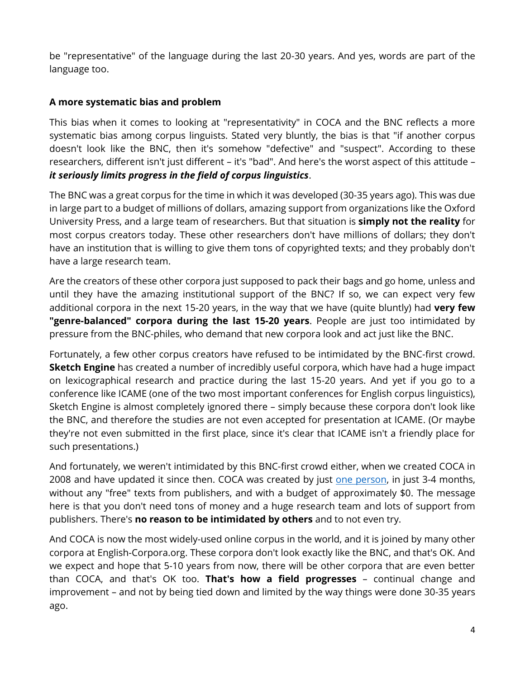be "representative" of the language during the last 20-30 years. And yes, words are part of the language too.

## **A more systematic bias and problem**

This bias when it comes to looking at "representativity" in COCA and the BNC reflects a more systematic bias among corpus linguists. Stated very bluntly, the bias is that "if another corpus doesn't look like the BNC, then it's somehow "defective" and "suspect". According to these researchers, different isn't just different – it's "bad". And here's the worst aspect of this attitude – *it seriously limits progress in the field of corpus linguistics*.

The BNC was a great corpus for the time in which it was developed (30-35 years ago). This was due in large part to a budget of millions of dollars, amazing support from organizations like the Oxford University Press, and a large team of researchers. But that situation is **simply not the reality** for most corpus creators today. These other researchers don't have millions of dollars; they don't have an institution that is willing to give them tons of copyrighted texts; and they probably don't have a large research team.

Are the creators of these other corpora just supposed to pack their bags and go home, unless and until they have the amazing institutional support of the BNC? If so, we can expect very few additional corpora in the next 15-20 years, in the way that we have (quite bluntly) had **very few "genre-balanced" corpora during the last 15-20 years**. People are just too intimidated by pressure from the BNC-philes, who demand that new corpora look and act just like the BNC.

Fortunately, a few other corpus creators have refused to be intimidated by the BNC-first crowd. **Sketch Engine** has created a number of incredibly useful corpora, which have had a huge impact on lexicographical research and practice during the last 15-20 years. And yet if you go to a conference like ICAME (one of the two most important conferences for English corpus linguistics), Sketch Engine is almost completely ignored there – simply because these corpora don't look like the BNC, and therefore the studies are not even accepted for presentation at ICAME. (Or maybe they're not even submitted in the first place, since it's clear that ICAME isn't a friendly place for such presentations.)

And fortunately, we weren't intimidated by this BNC-first crowd either, when we created COCA in 2008 and have updated it since then. COCA was created by just [one person,](https://www.mark-davies.org/) in just 3-4 months, without any "free" texts from publishers, and with a budget of approximately \$0. The message here is that you don't need tons of money and a huge research team and lots of support from publishers. There's **no reason to be intimidated by others** and to not even try.

And COCA is now the most widely-used online corpus in the world, and it is joined by many other corpora at English-Corpora.org. These corpora don't look exactly like the BNC, and that's OK. And we expect and hope that 5-10 years from now, there will be other corpora that are even better than COCA, and that's OK too. **That's how a field progresses** – continual change and improvement – and not by being tied down and limited by the way things were done 30-35 years ago.